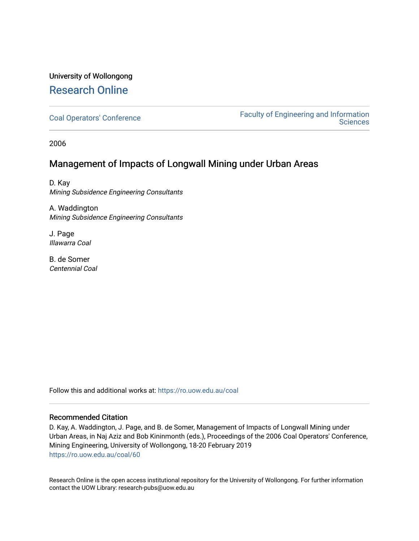# University of Wollongong [Research Online](https://ro.uow.edu.au/)

[Coal Operators' Conference](https://ro.uow.edu.au/coal) [Faculty of Engineering and Information](https://ro.uow.edu.au/eis)  **Sciences** 

2006

## Management of Impacts of Longwall Mining under Urban Areas

D. Kay Mining Subsidence Engineering Consultants

A. Waddington Mining Subsidence Engineering Consultants

J. Page Illawarra Coal

B. de Somer Centennial Coal

Follow this and additional works at: [https://ro.uow.edu.au/coal](https://ro.uow.edu.au/coal?utm_source=ro.uow.edu.au%2Fcoal%2F60&utm_medium=PDF&utm_campaign=PDFCoverPages) 

### Recommended Citation

D. Kay, A. Waddington, J. Page, and B. de Somer, Management of Impacts of Longwall Mining under Urban Areas, in Naj Aziz and Bob Kininmonth (eds.), Proceedings of the 2006 Coal Operators' Conference, Mining Engineering, University of Wollongong, 18-20 February 2019 [https://ro.uow.edu.au/coal/60](https://ro.uow.edu.au/coal/60?utm_source=ro.uow.edu.au%2Fcoal%2F60&utm_medium=PDF&utm_campaign=PDFCoverPages) 

Research Online is the open access institutional repository for the University of Wollongong. For further information contact the UOW Library: research-pubs@uow.edu.au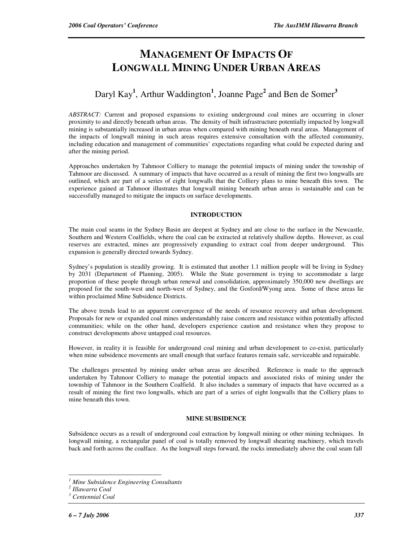# **MANAGEMENT OF IMPACTS OF LONGWALL MINING UNDER URBAN AREAS**

## Daryl Kay**<sup>1</sup>** , Arthur Waddington**<sup>1</sup>** , Joanne Page**<sup>2</sup>** and Ben de Somer**<sup>3</sup>**

*ABSTRACT:* Current and proposed expansions to existing underground coal mines are occurring in closer proximity to and directly beneath urban areas. The density of built infrastructure potentially impacted by longwall mining is substantially increased in urban areas when compared with mining beneath rural areas. Management of the impacts of longwall mining in such areas requires extensive consultation with the affected community, including education and management of communities' expectations regarding what could be expected during and after the mining period.

Approaches undertaken by Tahmoor Colliery to manage the potential impacts of mining under the township of Tahmoor are discussed. A summary of impacts that have occurred as a result of mining the first two longwalls are outlined, which are part of a series of eight longwalls that the Colliery plans to mine beneath this town. The experience gained at Tahmoor illustrates that longwall mining beneath urban areas is sustainable and can be successfully managed to mitigate the impacts on surface developments.

#### **INTRODUCTION**

The main coal seams in the Sydney Basin are deepest at Sydney and are close to the surface in the Newcastle, Southern and Western Coalfields, where the coal can be extracted at relatively shallow depths. However, as coal reserves are extracted, mines are progressively expanding to extract coal from deeper underground. This expansion is generally directed towards Sydney.

Sydney's population is steadily growing. It is estimated that another 1.1 million people will be living in Sydney by 2031 (Department of Planning, 2005). While the State government is trying to accommodate a large proportion of these people through urban renewal and consolidation, approximately 350,000 new dwellings are proposed for the south-west and north-west of Sydney, and the Gosford/Wyong area. Some of these areas lie within proclaimed Mine Subsidence Districts.

The above trends lead to an apparent convergence of the needs of resource recovery and urban development. Proposals for new or expanded coal mines understandably raise concern and resistance within potentially affected communities; while on the other hand, developers experience caution and resistance when they propose to construct developments above untapped coal resources.

However, in reality it is feasible for underground coal mining and urban development to co-exist, particularly when mine subsidence movements are small enough that surface features remain safe, serviceable and repairable.

The challenges presented by mining under urban areas are described. Reference is made to the approach undertaken by Tahmoor Colliery to manage the potential impacts and associated risks of mining under the township of Tahmoor in the Southern Coalfield. It also includes a summary of impacts that have occurred as a result of mining the first two longwalls, which are part of a series of eight longwalls that the Colliery plans to mine beneath this town.

#### **MINE SUBSIDENCE**

Subsidence occurs as a result of underground coal extraction by longwall mining or other mining techniques. In longwall mining, a rectangular panel of coal is totally removed by longwall shearing machinery, which travels back and forth across the coalface. As the longwall steps forward, the rocks immediately above the coal seam fall

 $\overline{a}$ 

*<sup>1</sup> Mine Subsidence Engineering Consultants* 

*<sup>2</sup> Illawarra Coal* 

*<sup>3</sup> Centennial Coal*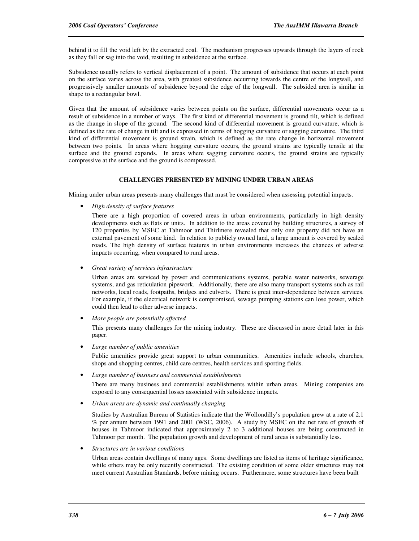behind it to fill the void left by the extracted coal. The mechanism progresses upwards through the layers of rock as they fall or sag into the void, resulting in subsidence at the surface.

Subsidence usually refers to vertical displacement of a point. The amount of subsidence that occurs at each point on the surface varies across the area, with greatest subsidence occurring towards the centre of the longwall, and progressively smaller amounts of subsidence beyond the edge of the longwall. The subsided area is similar in shape to a rectangular bowl.

Given that the amount of subsidence varies between points on the surface, differential movements occur as a result of subsidence in a number of ways. The first kind of differential movement is ground tilt, which is defined as the change in slope of the ground. The second kind of differential movement is ground curvature, which is defined as the rate of change in tilt and is expressed in terms of hogging curvature or sagging curvature. The third kind of differential movement is ground strain, which is defined as the rate change in horizontal movement between two points. In areas where hogging curvature occurs, the ground strains are typically tensile at the surface and the ground expands. In areas where sagging curvature occurs, the ground strains are typically compressive at the surface and the ground is compressed.

#### **CHALLENGES PRESENTED BY MINING UNDER URBAN AREAS**

Mining under urban areas presents many challenges that must be considered when assessing potential impacts.

• *High density of surface features*

There are a high proportion of covered areas in urban environments, particularly in high density developments such as flats or units. In addition to the areas covered by building structures, a survey of 120 properties by MSEC at Tahmoor and Thirlmere revealed that only one property did not have an external pavement of some kind. In relation to publicly owned land, a large amount is covered by sealed roads. The high density of surface features in urban environments increases the chances of adverse impacts occurring, when compared to rural areas.

• *Great variety of services infrastructure*

Urban areas are serviced by power and communications systems, potable water networks, sewerage systems, and gas reticulation pipework. Additionally, there are also many transport systems such as rail networks, local roads, footpaths, bridges and culverts. There is great inter-dependence between services. For example, if the electrical network is compromised, sewage pumping stations can lose power, which could then lead to other adverse impacts.

• *More people are potentially affected*

This presents many challenges for the mining industry. These are discussed in more detail later in this paper.

• *Large number of public amenities*

Public amenities provide great support to urban communities. Amenities include schools, churches, shops and shopping centres, child care centres, health services and sporting fields.

• *Large number of business and commercial establishments*

There are many business and commercial establishments within urban areas. Mining companies are exposed to any consequential losses associated with subsidence impacts.

• *Urban areas are dynamic and continually changing*

Studies by Australian Bureau of Statistics indicate that the Wollondilly's population grew at a rate of 2.1 % per annum between 1991 and 2001 (WSC, 2006). A study by MSEC on the net rate of growth of houses in Tahmoor indicated that approximately 2 to 3 additional houses are being constructed in Tahmoor per month. The population growth and development of rural areas is substantially less.

• *Structures are in various condition*s

Urban areas contain dwellings of many ages. Some dwellings are listed as items of heritage significance, while others may be only recently constructed. The existing condition of some older structures may not meet current Australian Standards, before mining occurs. Furthermore, some structures have been built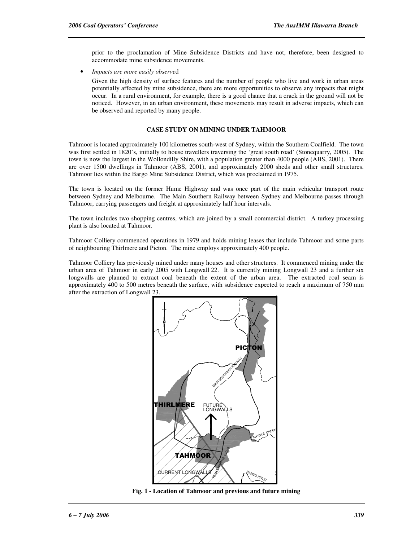prior to the proclamation of Mine Subsidence Districts and have not, therefore, been designed to accommodate mine subsidence movements.

• *Impacts are more easily observe*d

Given the high density of surface features and the number of people who live and work in urban areas potentially affected by mine subsidence, there are more opportunities to observe any impacts that might occur. In a rural environment, for example, there is a good chance that a crack in the ground will not be noticed. However, in an urban environment, these movements may result in adverse impacts, which can be observed and reported by many people.

#### **CASE STUDY ON MINING UNDER TAHMOOR**

Tahmoor is located approximately 100 kilometres south-west of Sydney, within the Southern Coalfield. The town was first settled in 1820's, initially to house travellers traversing the 'great south road' (Stonequarry, 2005). The town is now the largest in the Wollondilly Shire, with a population greater than 4000 people (ABS, 2001). There are over 1500 dwellings in Tahmoor (ABS, 2001), and approximately 2000 sheds and other small structures. Tahmoor lies within the Bargo Mine Subsidence District, which was proclaimed in 1975.

The town is located on the former Hume Highway and was once part of the main vehicular transport route between Sydney and Melbourne. The Main Southern Railway between Sydney and Melbourne passes through Tahmoor, carrying passengers and freight at approximately half hour intervals.

The town includes two shopping centres, which are joined by a small commercial district. A turkey processing plant is also located at Tahmoor.

Tahmoor Colliery commenced operations in 1979 and holds mining leases that include Tahmoor and some parts of neighbouring Thirlmere and Picton. The mine employs approximately 400 people.

Tahmoor Colliery has previously mined under many houses and other structures. It commenced mining under the urban area of Tahmoor in early 2005 with Longwall 22. It is currently mining Longwall 23 and a further six longwalls are planned to extract coal beneath the extent of the urban area. The extracted coal seam is approximately 400 to 500 metres beneath the surface, with subsidence expected to reach a maximum of 750 mm after the extraction of Longwall 23.



**Fig. 1 - Location of Tahmoor and previous and future mining**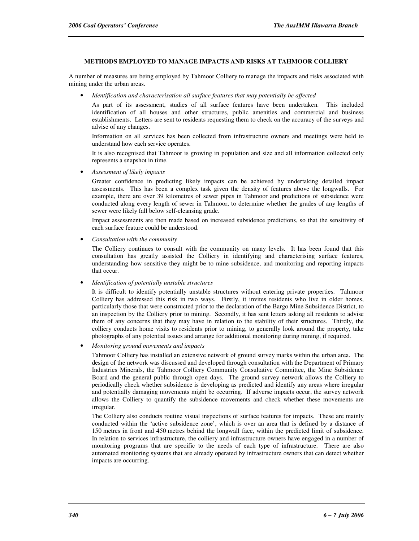#### **METHODS EMPLOYED TO MANAGE IMPACTS AND RISKS AT TAHMOOR COLLIERY**

A number of measures are being employed by Tahmoor Colliery to manage the impacts and risks associated with mining under the urban areas.

• *Identification and characterisation all surface features that may potentially be affected*

As part of its assessment, studies of all surface features have been undertaken. This included identification of all houses and other structures, public amenities and commercial and business establishments. Letters are sent to residents requesting them to check on the accuracy of the surveys and advise of any changes.

Information on all services has been collected from infrastructure owners and meetings were held to understand how each service operates.

It is also recognised that Tahmoor is growing in population and size and all information collected only represents a snapshot in time.

• *Assessment of likely impacts*

Greater confidence in predicting likely impacts can be achieved by undertaking detailed impact assessments. This has been a complex task given the density of features above the longwalls. For example, there are over 39 kilometres of sewer pipes in Tahmoor and predictions of subsidence were conducted along every length of sewer in Tahmoor, to determine whether the grades of any lengths of sewer were likely fall below self-cleansing grade.

Impact assessments are then made based on increased subsidence predictions, so that the sensitivity of each surface feature could be understood.

• *Consultation with the community*

The Colliery continues to consult with the community on many levels. It has been found that this consultation has greatly assisted the Colliery in identifying and characterising surface features, understanding how sensitive they might be to mine subsidence, and monitoring and reporting impacts that occur.

• *Identification of potentially unstable structures*

It is difficult to identify potentially unstable structures without entering private properties. Tahmoor Colliery has addressed this risk in two ways. Firstly, it invites residents who live in older homes, particularly those that were constructed prior to the declaration of the Bargo Mine Subsidence District, to an inspection by the Colliery prior to mining. Secondly, it has sent letters asking all residents to advise them of any concerns that they may have in relation to the stability of their structures. Thirdly, the colliery conducts home visits to residents prior to mining, to generally look around the property, take photographs of any potential issues and arrange for additional monitoring during mining, if required.

• *Monitoring ground movements and impacts*

Tahmoor Colliery has installed an extensive network of ground survey marks within the urban area. The design of the network was discussed and developed through consultation with the Department of Primary Industries Minerals, the Tahmoor Colliery Community Consultative Committee, the Mine Subsidence Board and the general public through open days. The ground survey network allows the Colliery to periodically check whether subsidence is developing as predicted and identify any areas where irregular and potentially damaging movements might be occurring. If adverse impacts occur, the survey network allows the Colliery to quantify the subsidence movements and check whether these movements are irregular.

The Colliery also conducts routine visual inspections of surface features for impacts. These are mainly conducted within the 'active subsidence zone', which is over an area that is defined by a distance of 150 metres in front and 450 metres behind the longwall face, within the predicted limit of subsidence. In relation to services infrastructure, the colliery and infrastructure owners have engaged in a number of monitoring programs that are specific to the needs of each type of infrastructure. There are also automated monitoring systems that are already operated by infrastructure owners that can detect whether impacts are occurring.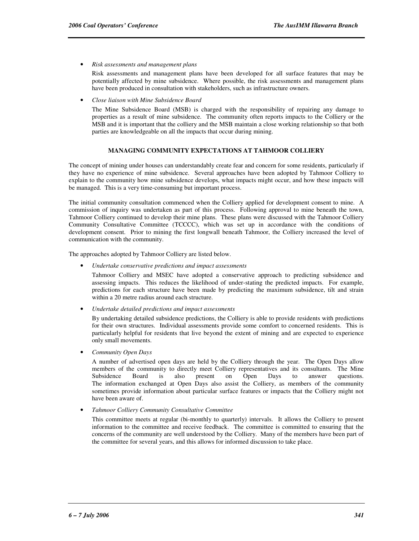• *Risk assessments and management plans*

Risk assessments and management plans have been developed for all surface features that may be potentially affected by mine subsidence. Where possible, the risk assessments and management plans have been produced in consultation with stakeholders, such as infrastructure owners.

• *Close liaison with Mine Subsidence Board*

The Mine Subsidence Board (MSB) is charged with the responsibility of repairing any damage to properties as a result of mine subsidence. The community often reports impacts to the Colliery or the MSB and it is important that the colliery and the MSB maintain a close working relationship so that both parties are knowledgeable on all the impacts that occur during mining.

#### **MANAGING COMMUNITY EXPECTATIONS AT TAHMOOR COLLIERY**

The concept of mining under houses can understandably create fear and concern for some residents, particularly if they have no experience of mine subsidence. Several approaches have been adopted by Tahmoor Colliery to explain to the community how mine subsidence develops, what impacts might occur, and how these impacts will be managed. This is a very time-consuming but important process.

The initial community consultation commenced when the Colliery applied for development consent to mine. A commission of inquiry was undertaken as part of this process. Following approval to mine beneath the town, Tahmoor Colliery continued to develop their mine plans. These plans were discussed with the Tahmoor Colliery Community Consultative Committee (TCCCC), which was set up in accordance with the conditions of development consent. Prior to mining the first longwall beneath Tahmoor, the Colliery increased the level of communication with the community.

The approaches adopted by Tahmoor Colliery are listed below.

• *Undertake conservative predictions and impact assessments*

Tahmoor Colliery and MSEC have adopted a conservative approach to predicting subsidence and assessing impacts. This reduces the likelihood of under-stating the predicted impacts. For example, predictions for each structure have been made by predicting the maximum subsidence, tilt and strain within a 20 metre radius around each structure.

• *Undertake detailed predictions and impact assessments*

By undertaking detailed subsidence predictions, the Colliery is able to provide residents with predictions for their own structures. Individual assessments provide some comfort to concerned residents. This is particularly helpful for residents that live beyond the extent of mining and are expected to experience only small movements.

• *Community Open Days*

A number of advertised open days are held by the Colliery through the year. The Open Days allow members of the community to directly meet Colliery representatives and its consultants. The Mine Subsidence Board is also present on Open Days to answer questions. The information exchanged at Open Days also assist the Colliery, as members of the community sometimes provide information about particular surface features or impacts that the Colliery might not have been aware of.

• *Tahmoor Colliery Community Consultative Committee*

This committee meets at regular (bi-monthly to quarterly) intervals. It allows the Colliery to present information to the committee and receive feedback. The committee is committed to ensuring that the concerns of the community are well understood by the Colliery. Many of the members have been part of the committee for several years, and this allows for informed discussion to take place.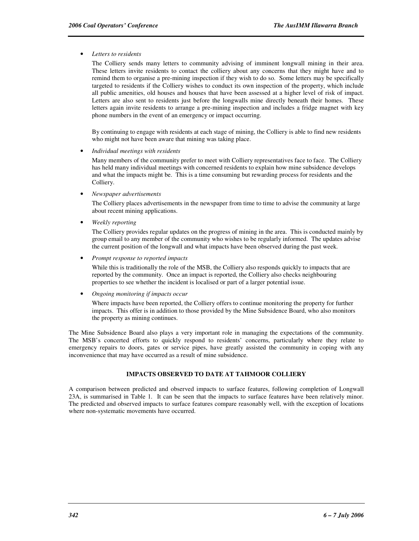#### • *Letters to residents*

The Colliery sends many letters to community advising of imminent longwall mining in their area. These letters invite residents to contact the colliery about any concerns that they might have and to remind them to organise a pre-mining inspection if they wish to do so. Some letters may be specifically targeted to residents if the Colliery wishes to conduct its own inspection of the property, which include all public amenities, old houses and houses that have been assessed at a higher level of risk of impact. Letters are also sent to residents just before the longwalls mine directly beneath their homes. These letters again invite residents to arrange a pre-mining inspection and includes a fridge magnet with key phone numbers in the event of an emergency or impact occurring.

By continuing to engage with residents at each stage of mining, the Colliery is able to find new residents who might not have been aware that mining was taking place.

• *Individual meetings with residents*

Many members of the community prefer to meet with Colliery representatives face to face. The Colliery has held many individual meetings with concerned residents to explain how mine subsidence develops and what the impacts might be. This is a time consuming but rewarding process for residents and the Colliery.

• *Newspaper advertisements*

The Colliery places advertisements in the newspaper from time to time to advise the community at large about recent mining applications.

• *Weekly reporting*

The Colliery provides regular updates on the progress of mining in the area. This is conducted mainly by group email to any member of the community who wishes to be regularly informed. The updates advise the current position of the longwall and what impacts have been observed during the past week.

• *Prompt response to reported impacts*

While this is traditionally the role of the MSB, the Colliery also responds quickly to impacts that are reported by the community. Once an impact is reported, the Colliery also checks neighbouring properties to see whether the incident is localised or part of a larger potential issue.

• *Ongoing monitoring if impacts occur*

Where impacts have been reported, the Colliery offers to continue monitoring the property for further impacts. This offer is in addition to those provided by the Mine Subsidence Board, who also monitors the property as mining continues.

The Mine Subsidence Board also plays a very important role in managing the expectations of the community. The MSB's concerted efforts to quickly respond to residents' concerns, particularly where they relate to emergency repairs to doors, gates or service pipes, have greatly assisted the community in coping with any inconvenience that may have occurred as a result of mine subsidence.

#### **IMPACTS OBSERVED TO DATE AT TAHMOOR COLLIERY**

A comparison between predicted and observed impacts to surface features, following completion of Longwall 23A, is summarised in Table 1. It can be seen that the impacts to surface features have been relatively minor. The predicted and observed impacts to surface features compare reasonably well, with the exception of locations where non-systematic movements have occurred.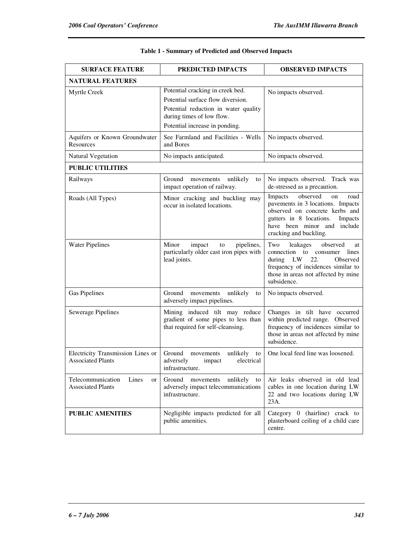| <b>SURFACE FEATURE</b>                                        | PREDICTED IMPACTS                                                                                          | <b>OBSERVED IMPACTS</b>                                                                                                                                                                                 |  |
|---------------------------------------------------------------|------------------------------------------------------------------------------------------------------------|---------------------------------------------------------------------------------------------------------------------------------------------------------------------------------------------------------|--|
| <b>NATURAL FEATURES</b>                                       |                                                                                                            |                                                                                                                                                                                                         |  |
| Myrtle Creek                                                  | Potential cracking in creek bed.<br>Potential surface flow diversion.                                      | No impacts observed.                                                                                                                                                                                    |  |
|                                                               | Potential reduction in water quality<br>during times of low flow.<br>Potential increase in ponding.        |                                                                                                                                                                                                         |  |
| Aquifers or Known Groundwater<br><b>Resources</b>             | See Farmland and Facilities - Wells<br>and Bores                                                           | No impacts observed.                                                                                                                                                                                    |  |
| Natural Vegetation                                            | No impacts anticipated.                                                                                    | No impacts observed.                                                                                                                                                                                    |  |
| <b>PUBLIC UTILITIES</b>                                       |                                                                                                            |                                                                                                                                                                                                         |  |
| Railways                                                      | Ground<br>movements<br>unlikely<br>to<br>impact operation of railway.                                      | No impacts observed. Track was<br>de-stressed as a precaution.                                                                                                                                          |  |
| Roads (All Types)                                             | Minor cracking and buckling may<br>occur in isolated locations.                                            | observed<br>Impacts<br>on<br>road<br>pavements in 3 locations. Impacts<br>observed on concrete kerbs and<br>gutters in 8 locations.<br>Impacts<br>have been minor and include<br>cracking and buckling. |  |
| <b>Water Pipelines</b>                                        | Minor<br>impact<br>pipelines,<br>to<br>particularly older cast iron pipes with<br>lead joints.             | Two<br>observed<br>leakages<br>at<br>connection to consumer lines<br>during LW<br>22.<br>Observed<br>frequency of incidences similar to<br>those in areas not affected by mine<br>subsidence.           |  |
| <b>Gas Pipelines</b>                                          | Ground<br>movements<br>unlikely<br>to<br>adversely impact pipelines.                                       | No impacts observed.                                                                                                                                                                                    |  |
| Sewerage Pipelines                                            | Mining induced tilt may reduce<br>gradient of some pipes to less than<br>that required for self-cleansing. | Changes in tilt have occurred<br>within predicted range. Observed<br>frequency of incidences similar to<br>those in areas not affected by mine<br>subsidence.                                           |  |
| Electricity Transmission Lines or<br><b>Associated Plants</b> | Ground<br>unlikely<br>movements<br>to<br>adversely<br>electrical<br>impact<br>infrastructure.              | One local feed line was loosened.                                                                                                                                                                       |  |
| Telecommunication<br>Lines<br>or<br><b>Associated Plants</b>  | Ground movements unlikely to<br>adversely impact telecommunications<br>infrastructure.                     | Air leaks observed in old lead<br>cables in one location during LW<br>22 and two locations during LW<br>23A.                                                                                            |  |
| <b>PUBLIC AMENITIES</b>                                       | Negligible impacts predicted for all<br>public amenities.                                                  | Category 0 (hairline) crack to<br>plasterboard ceiling of a child care<br>centre.                                                                                                                       |  |

### **Table 1 - Summary of Predicted and Observed Impacts**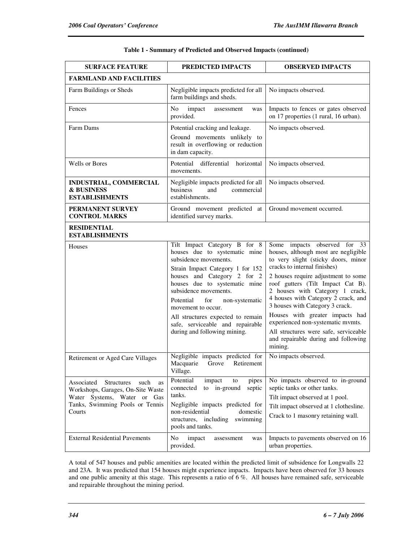| <b>SURFACE FEATURE</b>                                                                                                                                  | PREDICTED IMPACTS                                                                                                                                                                                                                                                                                                                                                                        | <b>OBSERVED IMPACTS</b>                                                                                                                                                                                                                                                                                                                                                                                                                                                                                 |  |
|---------------------------------------------------------------------------------------------------------------------------------------------------------|------------------------------------------------------------------------------------------------------------------------------------------------------------------------------------------------------------------------------------------------------------------------------------------------------------------------------------------------------------------------------------------|---------------------------------------------------------------------------------------------------------------------------------------------------------------------------------------------------------------------------------------------------------------------------------------------------------------------------------------------------------------------------------------------------------------------------------------------------------------------------------------------------------|--|
| <b>FARMLAND AND FACILITIES</b>                                                                                                                          |                                                                                                                                                                                                                                                                                                                                                                                          |                                                                                                                                                                                                                                                                                                                                                                                                                                                                                                         |  |
| Farm Buildings or Sheds                                                                                                                                 | Negligible impacts predicted for all<br>farm buildings and sheds.                                                                                                                                                                                                                                                                                                                        | No impacts observed.                                                                                                                                                                                                                                                                                                                                                                                                                                                                                    |  |
| Fences                                                                                                                                                  | No<br>impact<br>assessment<br>was<br>provided.                                                                                                                                                                                                                                                                                                                                           | Impacts to fences or gates observed<br>on 17 properties (1 rural, 16 urban).                                                                                                                                                                                                                                                                                                                                                                                                                            |  |
| Farm Dams                                                                                                                                               | Potential cracking and leakage.<br>Ground movements unlikely to<br>result in overflowing or reduction<br>in dam capacity.                                                                                                                                                                                                                                                                | No impacts observed.                                                                                                                                                                                                                                                                                                                                                                                                                                                                                    |  |
| <b>Wells or Bores</b>                                                                                                                                   | Potential differential<br>horizontal<br>movements.                                                                                                                                                                                                                                                                                                                                       | No impacts observed.                                                                                                                                                                                                                                                                                                                                                                                                                                                                                    |  |
| INDUSTRIAL, COMMERCIAL<br><b>&amp; BUSINESS</b><br><b>ESTABLISHMENTS</b>                                                                                | Negligible impacts predicted for all<br>and<br>commercial<br>business<br>establishments.                                                                                                                                                                                                                                                                                                 | No impacts observed.                                                                                                                                                                                                                                                                                                                                                                                                                                                                                    |  |
| PERMANENT SURVEY<br><b>CONTROL MARKS</b>                                                                                                                | Ground movement predicted at<br>identified survey marks.                                                                                                                                                                                                                                                                                                                                 | Ground movement occurred.                                                                                                                                                                                                                                                                                                                                                                                                                                                                               |  |
| <b>RESIDENTIAL</b><br><b>ESTABLISHMENTS</b>                                                                                                             |                                                                                                                                                                                                                                                                                                                                                                                          |                                                                                                                                                                                                                                                                                                                                                                                                                                                                                                         |  |
| Houses                                                                                                                                                  | Tilt Impact Category B for 8<br>houses due to systematic mine<br>subsidence movements.<br>Strain Impact Category 1 for 152<br>houses and Category 2 for 2<br>houses due to systematic mine<br>subsidence movements.<br>Potential<br>for<br>non-systematic<br>movement to occur.<br>All structures expected to remain<br>safe, serviceable and repairable<br>during and following mining. | Some impacts observed for 33<br>houses, although most are negligible<br>to very slight (sticky doors, minor<br>cracks to internal finishes)<br>2 houses require adjustment to some<br>roof gutters (Tilt Impact Cat B).<br>2 houses with Category 1 crack,<br>4 houses with Category 2 crack, and<br>3 houses with Category 3 crack.<br>Houses with greater impacts had<br>experienced non-systematic mvmts.<br>All structures were safe, serviceable<br>and repairable during and following<br>mining. |  |
| Retirement or Aged Care Villages                                                                                                                        | Negligible impacts predicted for<br>Macquarie<br>Grove<br>Retirement<br>Village.                                                                                                                                                                                                                                                                                                         | No impacts observed.                                                                                                                                                                                                                                                                                                                                                                                                                                                                                    |  |
| Associated<br>Structures<br>such<br>as<br>Workshops, Garages, On-Site Waste<br>Water Systems, Water or Gas<br>Tanks, Swimming Pools or Tennis<br>Courts | Potential<br>impact<br>pipes<br>to<br>connected<br>to in-ground<br>septic<br>tanks.<br>Negligible impacts predicted for<br>non-residential<br>domestic<br>structures, including<br>swimming<br>pools and tanks.                                                                                                                                                                          | No impacts observed to in-ground<br>septic tanks or other tanks.<br>Tilt impact observed at 1 pool.<br>Tilt impact observed at 1 clothesline.<br>Crack to 1 masonry retaining wall.                                                                                                                                                                                                                                                                                                                     |  |
| <b>External Residential Pavements</b>                                                                                                                   | No<br>impact<br>assessment<br>was<br>provided.                                                                                                                                                                                                                                                                                                                                           | Impacts to pavements observed on 16<br>urban properties.                                                                                                                                                                                                                                                                                                                                                                                                                                                |  |

#### **Table 1 - Summary of Predicted and Observed Impacts (continued)**

A total of 547 houses and public amenities are located within the predicted limit of subsidence for Longwalls 22 and 23A. It was predicted that 154 houses might experience impacts. Impacts have been observed for 33 houses and one public amenity at this stage. This represents a ratio of 6 %. All houses have remained safe, serviceable and repairable throughout the mining period.